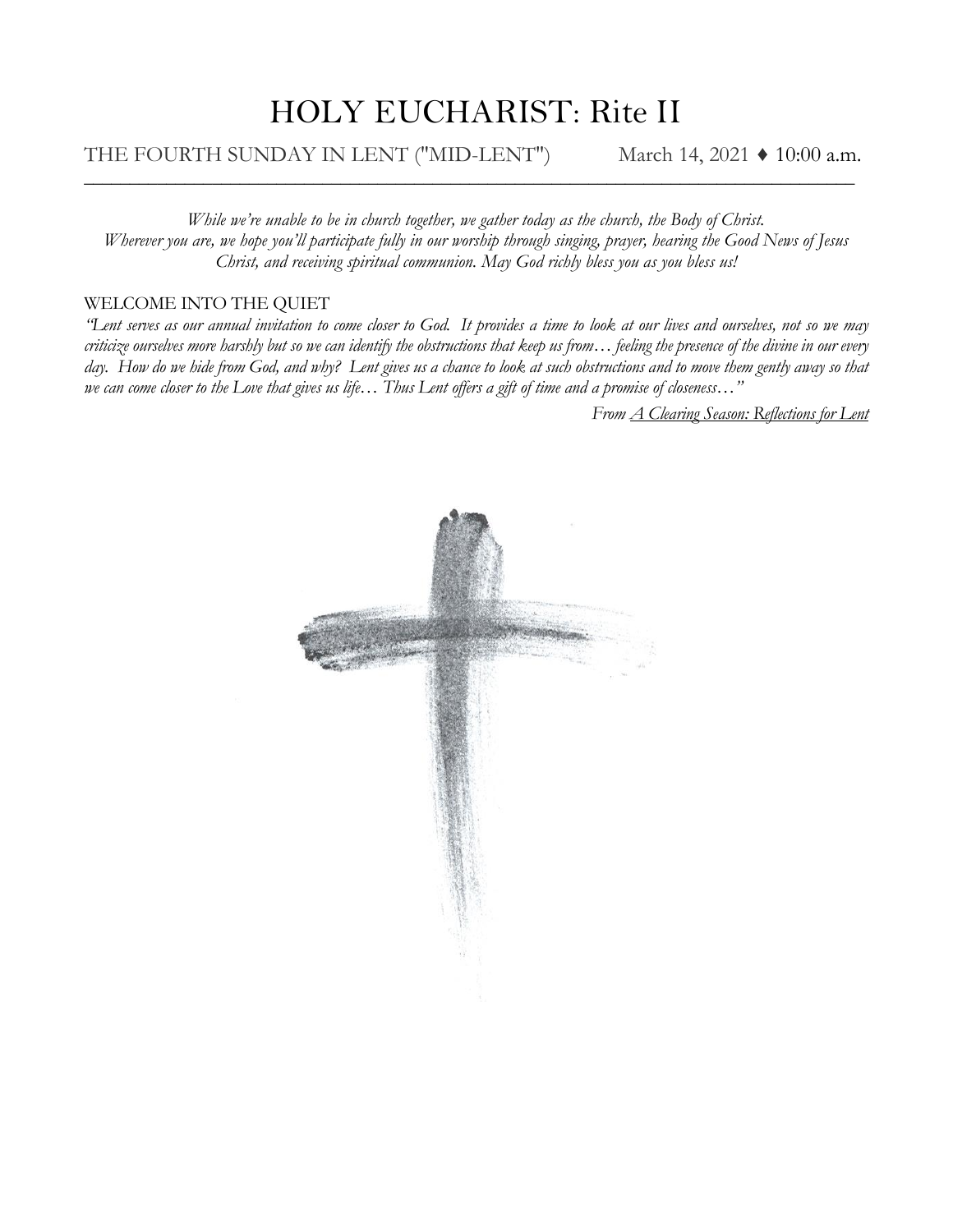## HOLY EUCHARIST: Rite II

*\_\_\_\_\_\_\_\_\_\_\_\_\_\_\_\_\_\_\_\_\_\_\_\_\_\_\_\_\_\_\_\_\_\_\_\_\_\_\_\_\_\_\_\_\_\_\_\_\_\_\_\_\_\_\_\_\_\_\_\_\_\_\_\_\_\_\_\_\_\_\_\_\_\_\_\_\_\_\_\_\_\_\_\_*

THE FOURTH SUNDAY IN LENT ("MID-LENT") March 14, 2021  $\blacklozenge$  10:00 a.m.

*While we're unable to be in church together, we gather today as the church, the Body of Christ. Wherever you are, we hope you'll participate fully in our worship through singing, prayer, hearing the Good News of Jesus Christ, and receiving spiritual communion. May God richly bless you as you bless us!*

#### WELCOME INTO THE QUIET

*"Lent serves as our annual invitation to come closer to God. It provides a time to look at our lives and ourselves, not so we may criticize ourselves more harshly but so we can identify the obstructions that keep us from… feeling the presence of the divine in our every day. How do we hide from God, and why? Lent gives us a chance to look at such obstructions and to move them gently away so that we can come closer to the Love that gives us life… Thus Lent offers a gift of time and a promise of closeness…"*

*From A Clearing Season: Reflections for Lent*

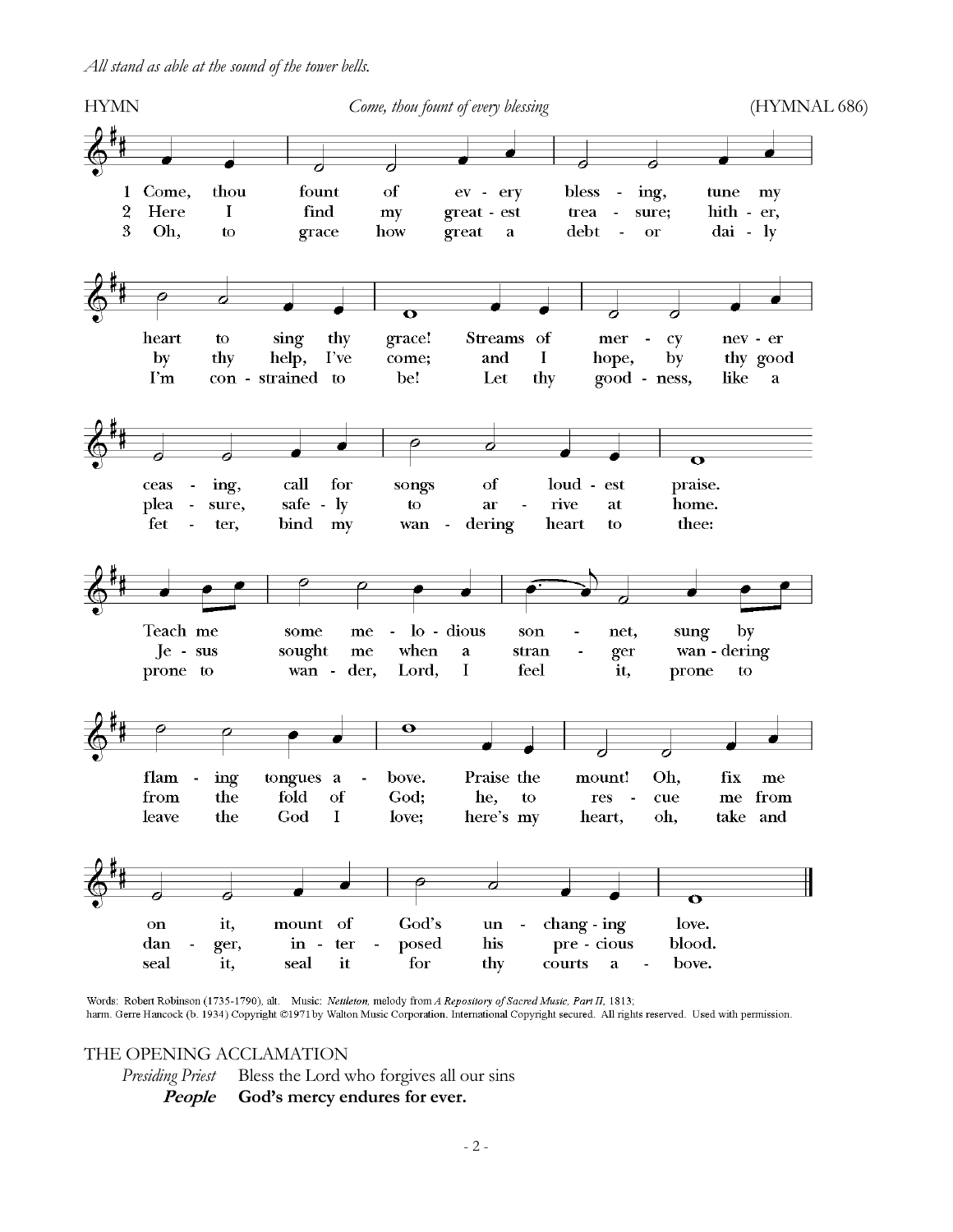*All stand as able at the sound of the tower bells.*



Words: Robert Robinson (1735-1790), alt. Music: Nettleton, melody from A Repository of Sacred Music, Part II, 1813; harm. Gerre Hancock (b. 1934) Copyright @1971 by Walton Music Corporation. International Copyright secured. All rights reserved. Used with permission.

#### THE OPENING ACCLAMATION

*Presiding Priest* Bless the Lord who forgives all our sins **People God's mercy endures for ever.**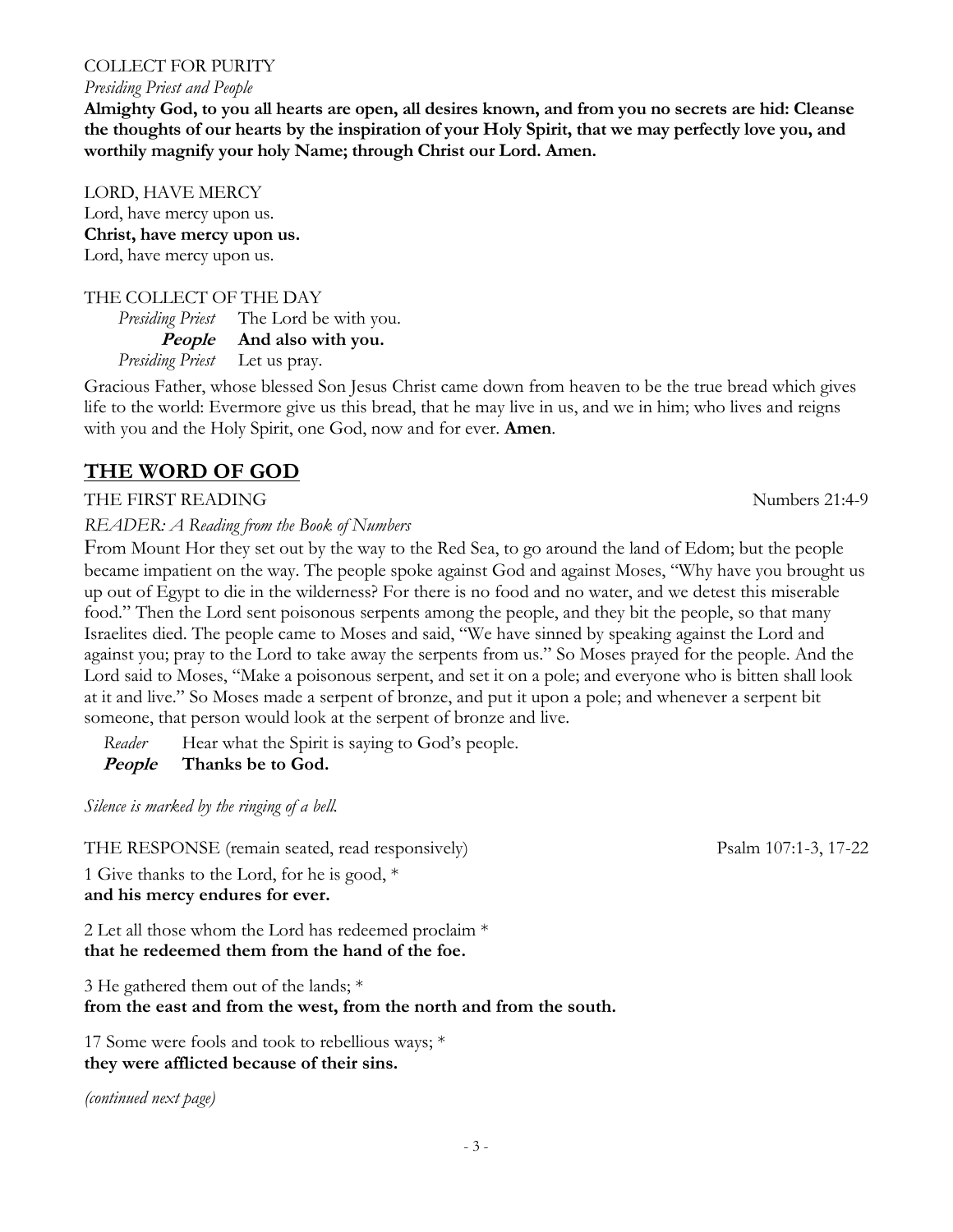## COLLECT FOR PURITY

#### *Presiding Priest and People*

**Almighty God, to you all hearts are open, all desires known, and from you no secrets are hid: Cleanse the thoughts of our hearts by the inspiration of your Holy Spirit, that we may perfectly love you, and worthily magnify your holy Name; through Christ our Lord. Amen.**

### LORD, HAVE MERCY

Lord, have mercy upon us. **Christ, have mercy upon us.** Lord, have mercy upon us.

#### THE COLLECT OF THE DAY

*Presiding Priest* The Lord be with you. **People And also with you.** *Presiding Priest* Let us pray.

Gracious Father, whose blessed Son Jesus Christ came down from heaven to be the true bread which gives life to the world: Evermore give us this bread, that he may live in us, and we in him; who lives and reigns with you and the Holy Spirit, one God, now and for ever. **Amen**.

## **THE WORD OF GOD**

## THE FIRST READING Numbers 21:4-9

## *READER: A Reading from the Book of Numbers*

From Mount Hor they set out by the way to the Red Sea, to go around the land of Edom; but the people became impatient on the way. The people spoke against God and against Moses, "Why have you brought us up out of Egypt to die in the wilderness? For there is no food and no water, and we detest this miserable food." Then the Lord sent poisonous serpents among the people, and they bit the people, so that many Israelites died. The people came to Moses and said, "We have sinned by speaking against the Lord and against you; pray to the Lord to take away the serpents from us." So Moses prayed for the people. And the Lord said to Moses, "Make a poisonous serpent, and set it on a pole; and everyone who is bitten shall look at it and live." So Moses made a serpent of bronze, and put it upon a pole; and whenever a serpent bit someone, that person would look at the serpent of bronze and live.

*Reader* Hear what the Spirit is saying to God's people.  **People Thanks be to God.**

*Silence is marked by the ringing of a bell.*

THE RESPONSE (remain seated, read responsively) Psalm 107:1-3, 17-22

1 Give thanks to the Lord, for he is good, \* **and his mercy endures for ever.**

2 Let all those whom the Lord has redeemed proclaim \* **that he redeemed them from the hand of the foe.**

3 He gathered them out of the lands; \* **from the east and from the west, from the north and from the south.**

17 Some were fools and took to rebellious ways; \* **they were afflicted because of their sins.**

*(continued next page)*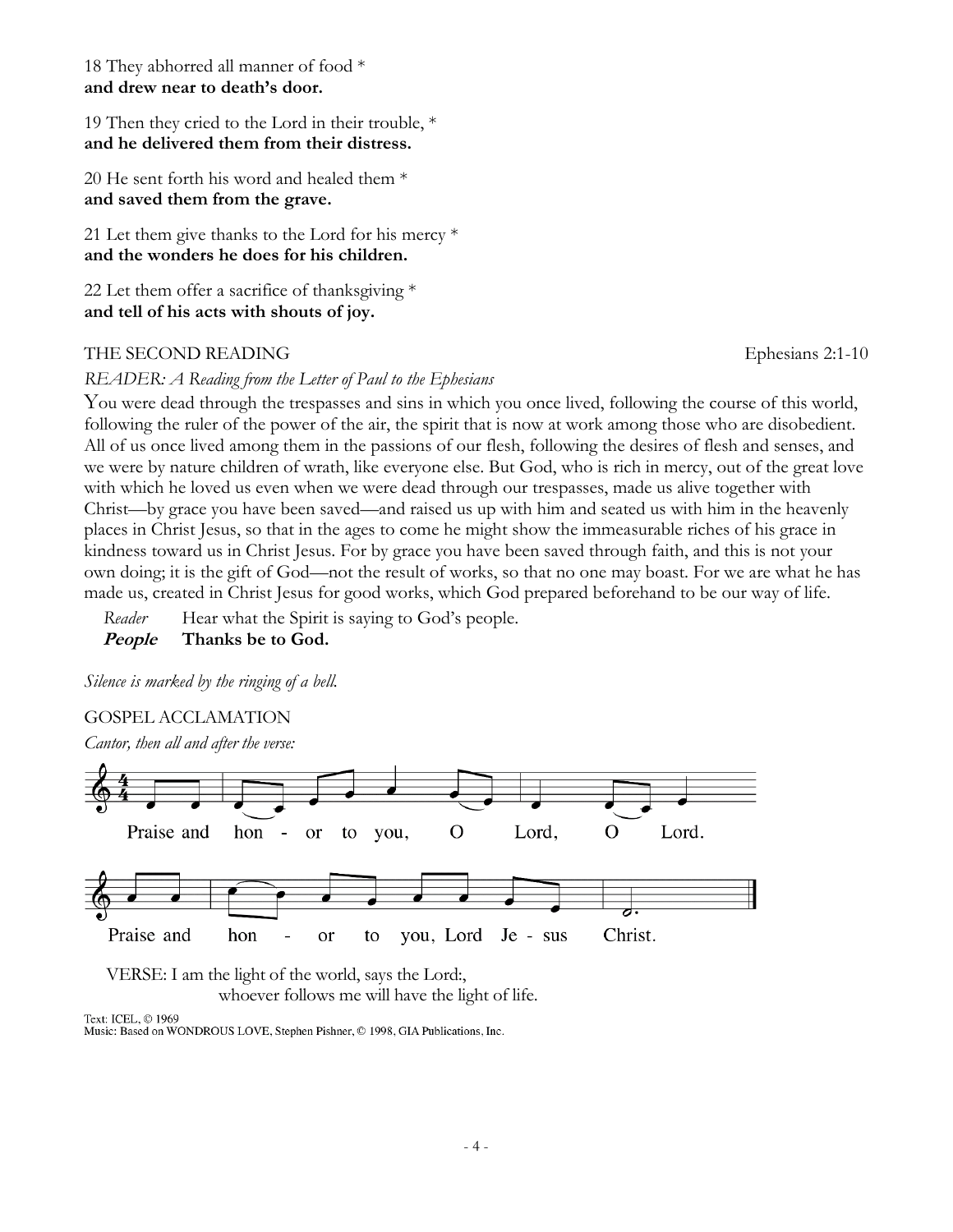18 They abhorred all manner of food \* **and drew near to death's door.**

19 Then they cried to the Lord in their trouble, \* **and he delivered them from their distress.**

20 He sent forth his word and healed them \* **and saved them from the grave.**

21 Let them give thanks to the Lord for his mercy \* **and the wonders he does for his children.**

22 Let them offer a sacrifice of thanksgiving \* **and tell of his acts with shouts of joy.**

## THE SECOND READING Ephesians 2:1-10

## *READER: A Reading from the Letter of Paul to the Ephesians*

You were dead through the trespasses and sins in which you once lived, following the course of this world, following the ruler of the power of the air, the spirit that is now at work among those who are disobedient. All of us once lived among them in the passions of our flesh, following the desires of flesh and senses, and we were by nature children of wrath, like everyone else. But God, who is rich in mercy, out of the great love with which he loved us even when we were dead through our trespasses, made us alive together with Christ—by grace you have been saved—and raised us up with him and seated us with him in the heavenly places in Christ Jesus, so that in the ages to come he might show the immeasurable riches of his grace in kindness toward us in Christ Jesus. For by grace you have been saved through faith, and this is not your own doing; it is the gift of God—not the result of works, so that no one may boast. For we are what he has made us, created in Christ Jesus for good works, which God prepared beforehand to be our way of life.

*Reader* Hear what the Spirit is saying to God's people.

 **People Thanks be to God.**

*Silence is marked by the ringing of a bell.*

## GOSPEL ACCLAMATION

*Cantor, then all and after the verse:*





Text: ICEL, © 1969

Music: Based on WONDROUS LOVE, Stephen Pishner, © 1998, GIA Publications, Inc.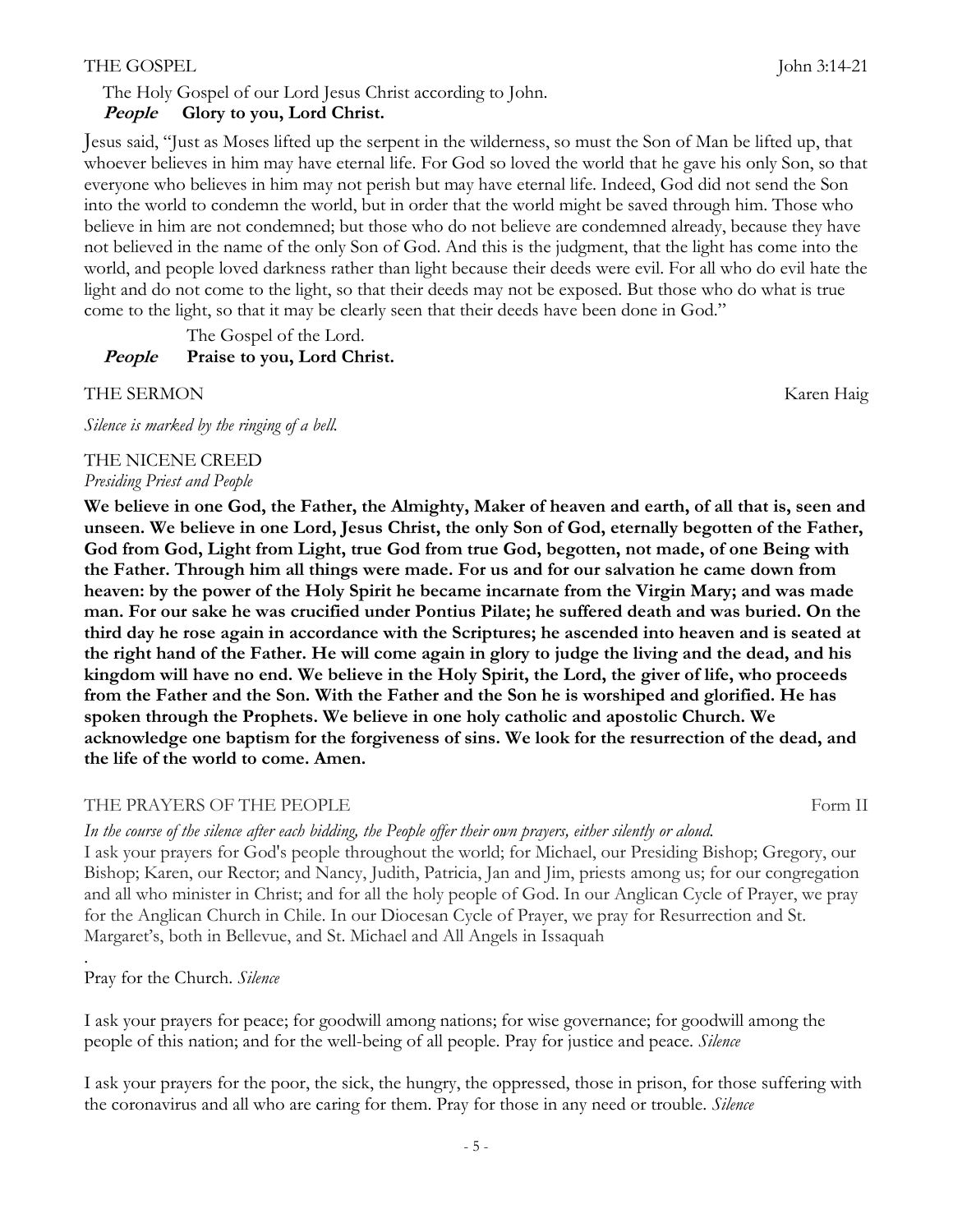#### THE GOSPEL John 3:14-21

## **People Glory to you, Lord Christ.**

Jesus said, "Just as Moses lifted up the serpent in the wilderness, so must the Son of Man be lifted up, that whoever believes in him may have eternal life. For God so loved the world that he gave his only Son, so that everyone who believes in him may not perish but may have eternal life. Indeed, God did not send the Son into the world to condemn the world, but in order that the world might be saved through him. Those who believe in him are not condemned; but those who do not believe are condemned already, because they have not believed in the name of the only Son of God. And this is the judgment, that the light has come into the world, and people loved darkness rather than light because their deeds were evil. For all who do evil hate the light and do not come to the light, so that their deeds may not be exposed. But those who do what is true come to the light, so that it may be clearly seen that their deeds have been done in God."

The Gospel of the Lord. **People Praise to you, Lord Christ.**

THE SERMON Karen Haig

*Silence is marked by the ringing of a bell.*

## THE NICENE CREED

*Presiding Priest and People*

**We believe in one God, the Father, the Almighty, Maker of heaven and earth, of all that is, seen and unseen. We believe in one Lord, Jesus Christ, the only Son of God, eternally begotten of the Father, God from God, Light from Light, true God from true God, begotten, not made, of one Being with the Father. Through him all things were made. For us and for our salvation he came down from heaven: by the power of the Holy Spirit he became incarnate from the Virgin Mary; and was made man. For our sake he was crucified under Pontius Pilate; he suffered death and was buried. On the third day he rose again in accordance with the Scriptures; he ascended into heaven and is seated at the right hand of the Father. He will come again in glory to judge the living and the dead, and his kingdom will have no end. We believe in the Holy Spirit, the Lord, the giver of life, who proceeds from the Father and the Son. With the Father and the Son he is worshiped and glorified. He has spoken through the Prophets. We believe in one holy catholic and apostolic Church. We acknowledge one baptism for the forgiveness of sins. We look for the resurrection of the dead, and the life of the world to come. Amen.**

## THE PRAYERS OF THE PEOPLE FOR THE FORM II

*In the course of the silence after each bidding, the People offer their own prayers, either silently or aloud.* I ask your prayers for God's people throughout the world; for Michael, our Presiding Bishop; Gregory, our Bishop; Karen, our Rector; and Nancy, Judith, Patricia, Jan and Jim, priests among us; for our congregation and all who minister in Christ; and for all the holy people of God. In our Anglican Cycle of Prayer, we pray for the Anglican Church in Chile. In our Diocesan Cycle of Prayer, we pray for Resurrection and St. Margaret's, both in Bellevue, and St. Michael and All Angels in Issaquah

Pray for the Church. *Silence*

.

I ask your prayers for peace; for goodwill among nations; for wise governance; for goodwill among the people of this nation; and for the well-being of all people. Pray for justice and peace. *Silence*

I ask your prayers for the poor, the sick, the hungry, the oppressed, those in prison, for those suffering with the coronavirus and all who are caring for them. Pray for those in any need or trouble. *Silence*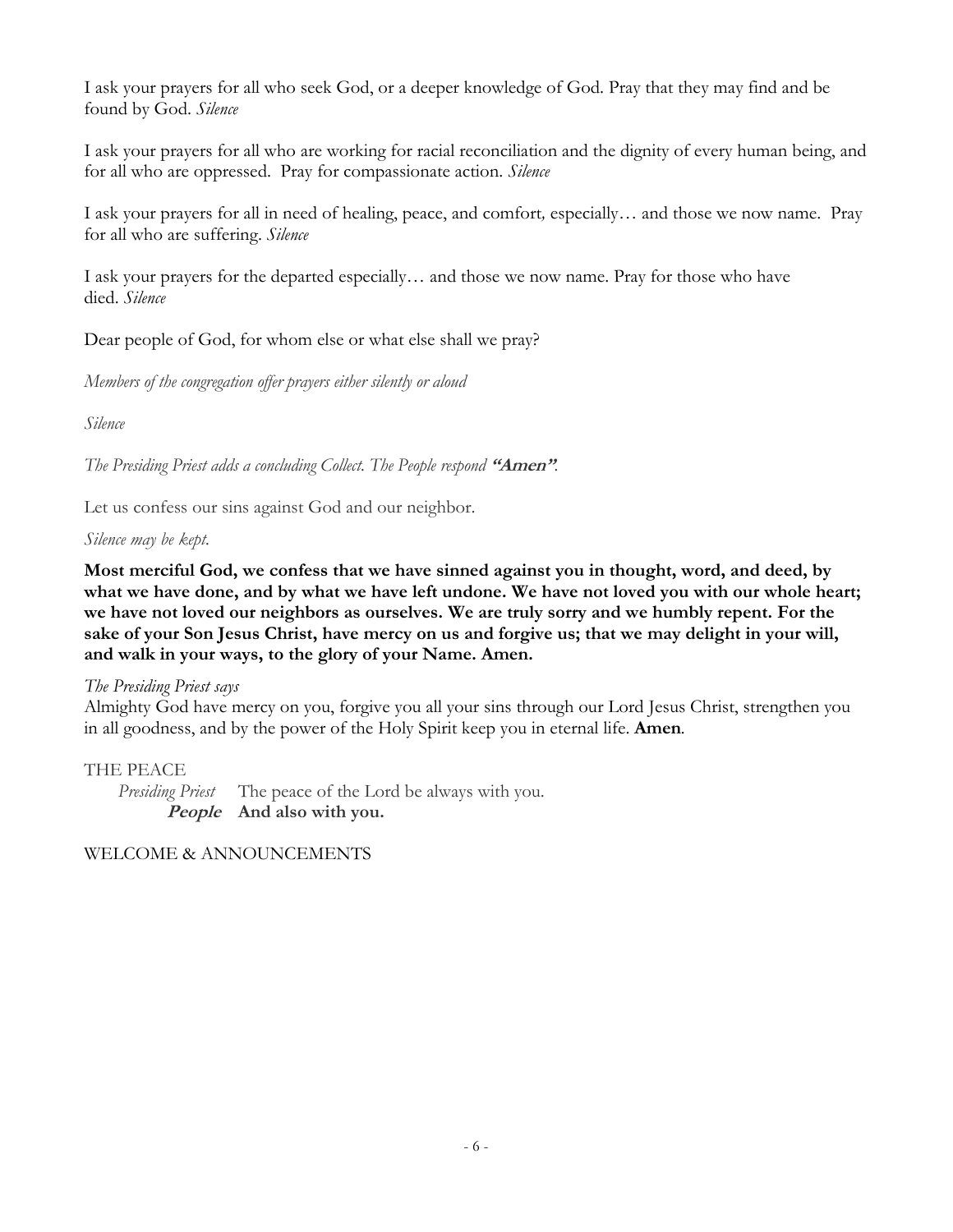I ask your prayers for all who seek God, or a deeper knowledge of God. Pray that they may find and be found by God. *Silence*

I ask your prayers for all who are working for racial reconciliation and the dignity of every human being, and for all who are oppressed. Pray for compassionate action. *Silence*

I ask your prayers for all in need of healing, peace, and comfort*,* especially… and those we now name. Pray for all who are suffering. *Silence*

I ask your prayers for the departed especially… and those we now name. Pray for those who have died. *Silence*

Dear people of God, for whom else or what else shall we pray?

*Members of the congregation offer prayers either silently or aloud*

*Silence*

*The Presiding Priest adds a concluding Collect. The People respond* **"Amen"***.*

Let us confess our sins against God and our neighbor.

*Silence may be kept.*

**Most merciful God, we confess that we have sinned against you in thought, word, and deed, by what we have done, and by what we have left undone. We have not loved you with our whole heart; we have not loved our neighbors as ourselves. We are truly sorry and we humbly repent. For the sake of your Son Jesus Christ, have mercy on us and forgive us; that we may delight in your will, and walk in your ways, to the glory of your Name. Amen.**

## *The Presiding Priest says*

Almighty God have mercy on you, forgive you all your sins through our Lord Jesus Christ, strengthen you in all goodness, and by the power of the Holy Spirit keep you in eternal life. **Amen***.*

## THE PEACE

*Presiding Priest* The peace of the Lord be always with you. **People And also with you.**

WELCOME & ANNOUNCEMENTS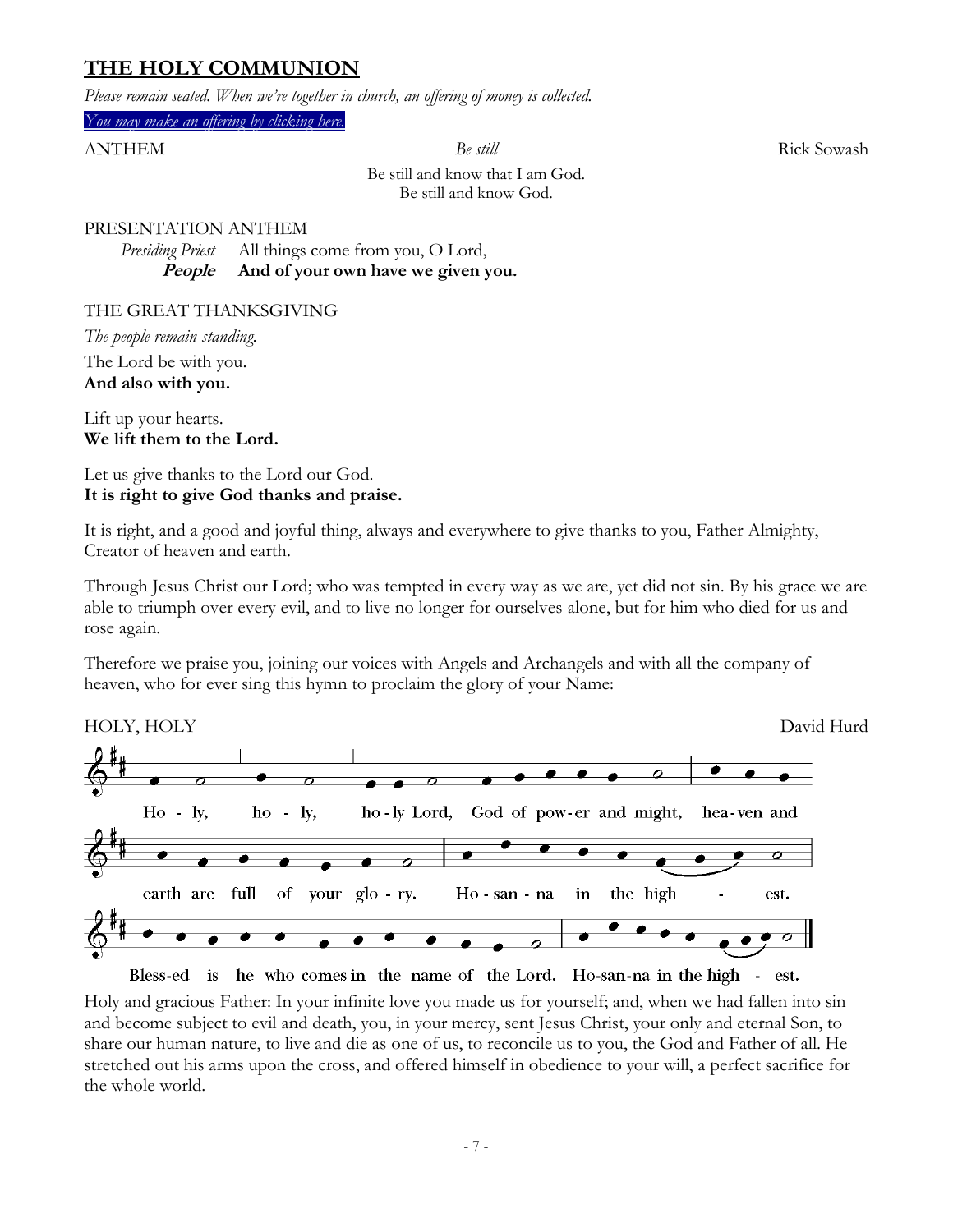## **THE HOLY COMMUNION**

*Please remain seated. When we're together in church, an offering of money is collected.*

*[You may make an offering by clicking here.](https://resources.ecww.org/give-parish?cid2=378)*

ANTHEM **Be still** Be still **Rick Sowash** 

Be still and know that I am God. Be still and know God.

PRESENTATION ANTHEM

*Presiding Priest* All things come from you, O Lord, **People And of your own have we given you.**

THE GREAT THANKSGIVING

*The people remain standing.*  The Lord be with you.

**And also with you.**

Lift up your hearts. **We lift them to the Lord.**

Let us give thanks to the Lord our God. **It is right to give God thanks and praise.**

It is right, and a good and joyful thing, always and everywhere to give thanks to you, Father Almighty, Creator of heaven and earth.

Through Jesus Christ our Lord; who was tempted in every way as we are, yet did not sin. By his grace we are able to triumph over every evil, and to live no longer for ourselves alone, but for him who died for us and rose again.

Therefore we praise you, joining our voices with Angels and Archangels and with all the company of heaven, who for ever sing this hymn to proclaim the glory of your Name:



Bless-ed is he who comes in the name of the Lord. Ho-san-na in the high - est.

Holy and gracious Father: In your infinite love you made us for yourself; and, when we had fallen into sin and become subject to evil and death, you, in your mercy, sent Jesus Christ, your only and eternal Son, to share our human nature, to live and die as one of us, to reconcile us to you, the God and Father of all. He stretched out his arms upon the cross, and offered himself in obedience to your will, a perfect sacrifice for the whole world.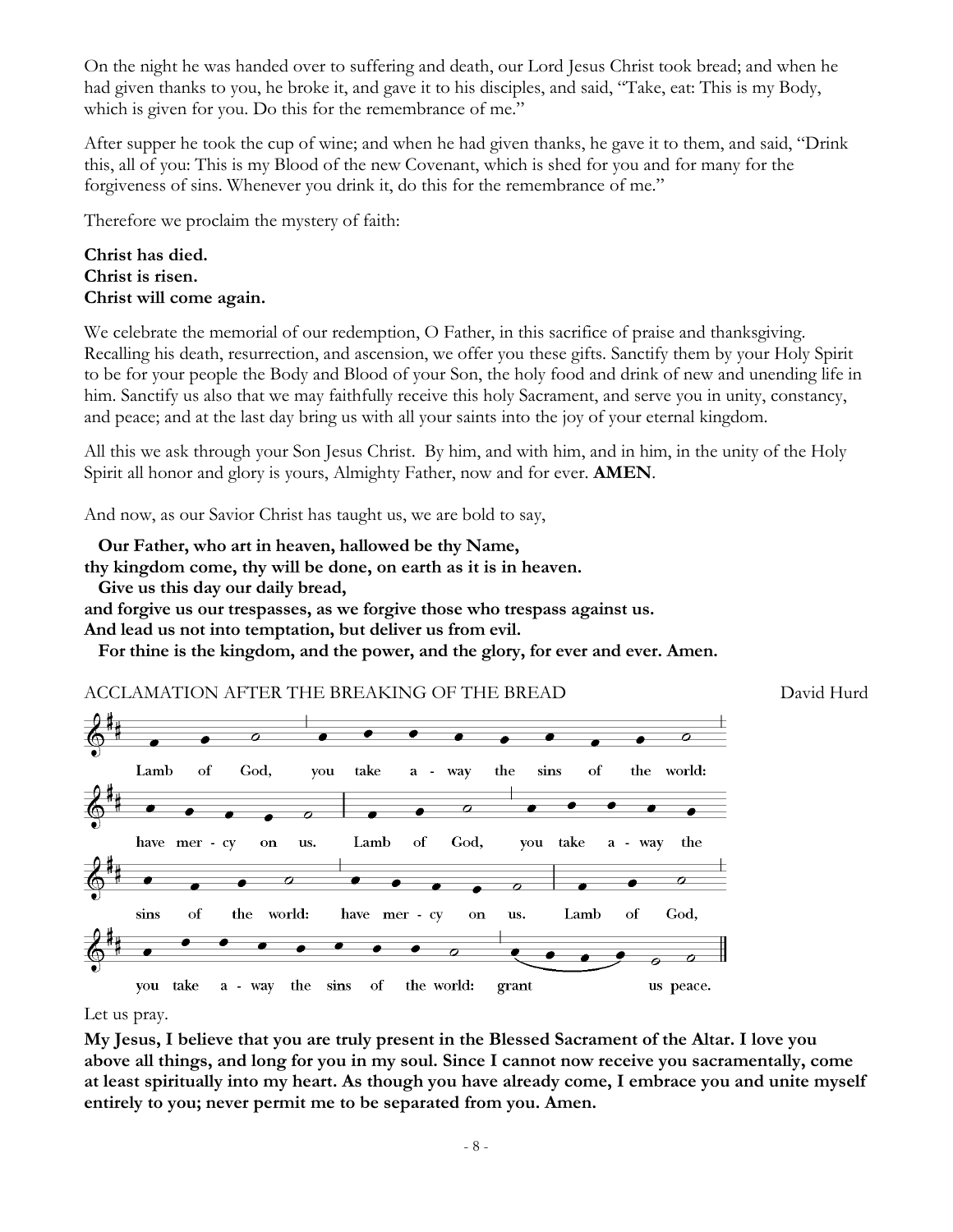On the night he was handed over to suffering and death, our Lord Jesus Christ took bread; and when he had given thanks to you, he broke it, and gave it to his disciples, and said, "Take, eat: This is my Body, which is given for you. Do this for the remembrance of me."

After supper he took the cup of wine; and when he had given thanks, he gave it to them, and said, "Drink this, all of you: This is my Blood of the new Covenant, which is shed for you and for many for the forgiveness of sins. Whenever you drink it, do this for the remembrance of me."

Therefore we proclaim the mystery of faith:

**Christ has died. Christ is risen. Christ will come again.**

We celebrate the memorial of our redemption, O Father, in this sacrifice of praise and thanksgiving. Recalling his death, resurrection, and ascension, we offer you these gifts. Sanctify them by your Holy Spirit to be for your people the Body and Blood of your Son, the holy food and drink of new and unending life in him. Sanctify us also that we may faithfully receive this holy Sacrament, and serve you in unity, constancy, and peace; and at the last day bring us with all your saints into the joy of your eternal kingdom.

All this we ask through your Son Jesus Christ. By him, and with him, and in him, in the unity of the Holy Spirit all honor and glory is yours, Almighty Father, now and for ever. **AMEN**.

And now, as our Savior Christ has taught us, we are bold to say,

**Our Father, who art in heaven, hallowed be thy Name,**

**thy kingdom come, thy will be done, on earth as it is in heaven.**

**Give us this day our daily bread,**

**and forgive us our trespasses, as we forgive those who trespass against us. And lead us not into temptation, but deliver us from evil.**

**For thine is the kingdom, and the power, and the glory, for ever and ever. Amen.**



Let us pray.

**My Jesus, I believe that you are truly present in the Blessed Sacrament of the Altar. I love you above all things, and long for you in my soul. Since I cannot now receive you sacramentally, come at least spiritually into my heart. As though you have already come, I embrace you and unite myself entirely to you; never permit me to be separated from you. Amen.**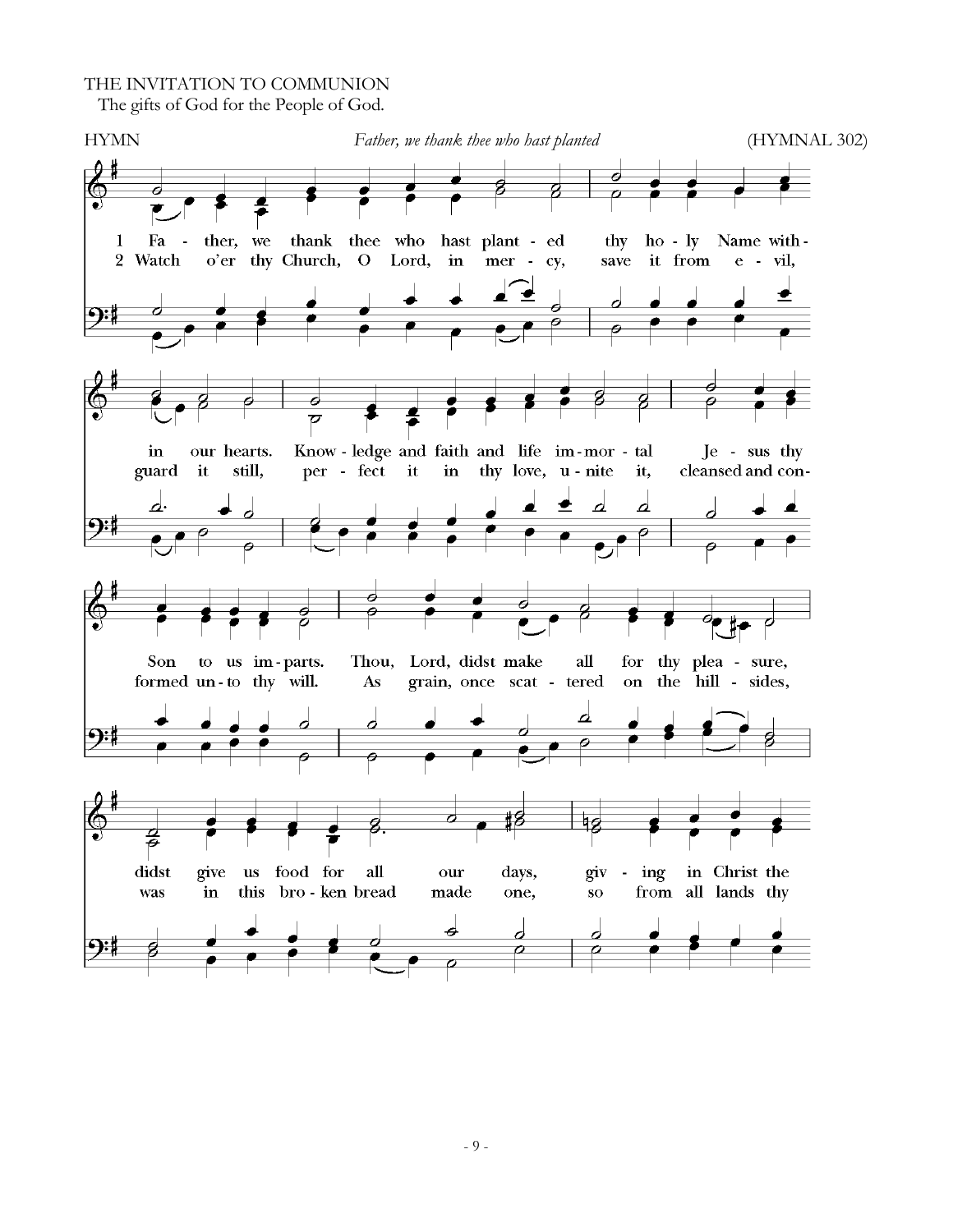THE INVITATION TO COMMUNION

The gifts of God for the People of God.



- 9 -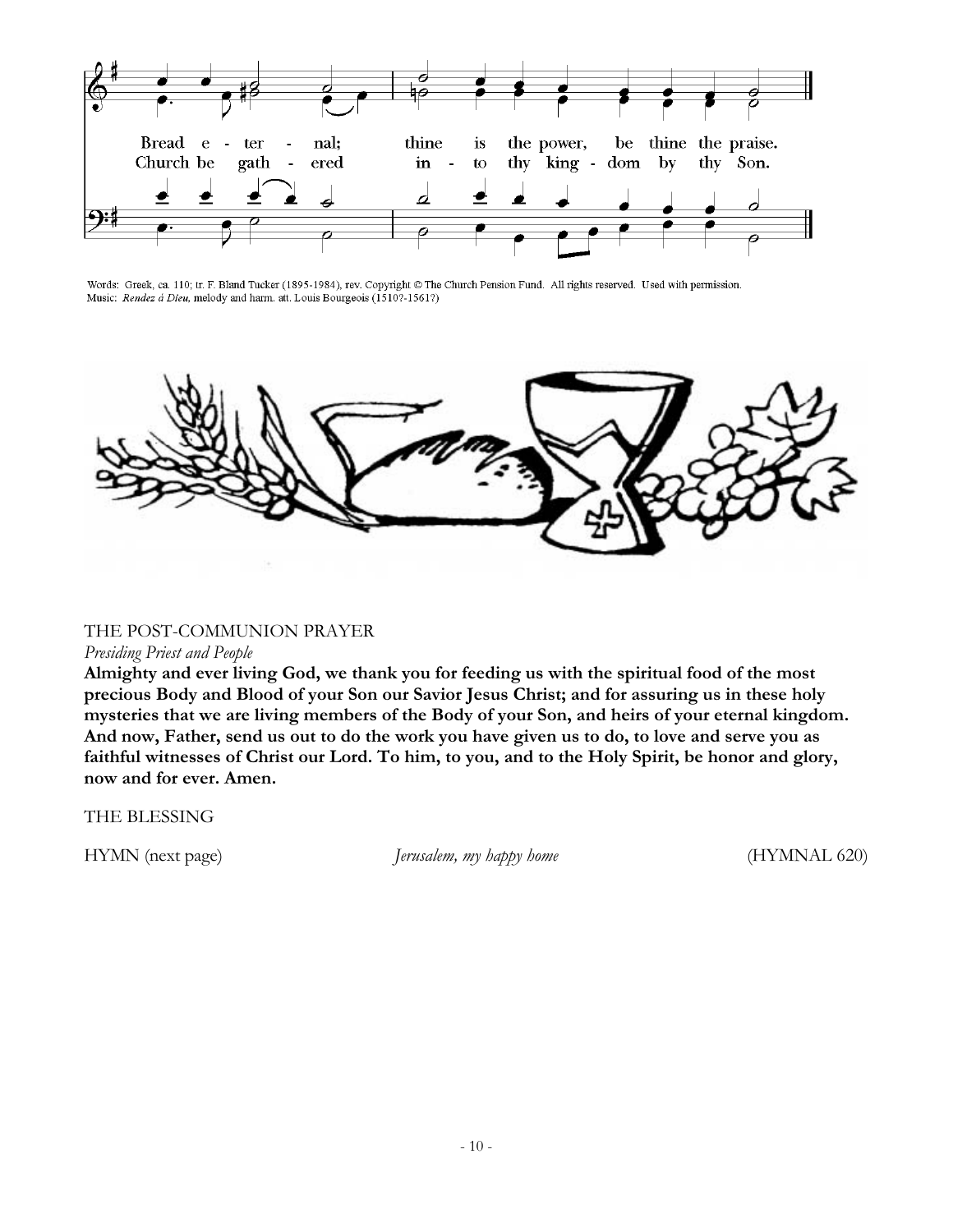

Words: Greek, ca. 110; tr. F. Bland Tucker (1895-1984), rev. Copyright @ The Church Pension Fund. All rights reserved. Used with permission. Music: Rendez á Dieu, melody and harm. att. Louis Bourgeois (1510?-1561?)



#### THE POST-COMMUNION PRAYER

#### *Presiding Priest and People*

**Almighty and ever living God, we thank you for feeding us with the spiritual food of the most precious Body and Blood of your Son our Savior Jesus Christ; and for assuring us in these holy mysteries that we are living members of the Body of your Son, and heirs of your eternal kingdom. And now, Father, send us out to do the work you have given us to do, to love and serve you as faithful witnesses of Christ our Lord. To him, to you, and to the Holy Spirit, be honor and glory, now and for ever. Amen.**

#### THE BLESSING

HYMN (next page) *Jerusalem, my happy home* (HYMNAL 620)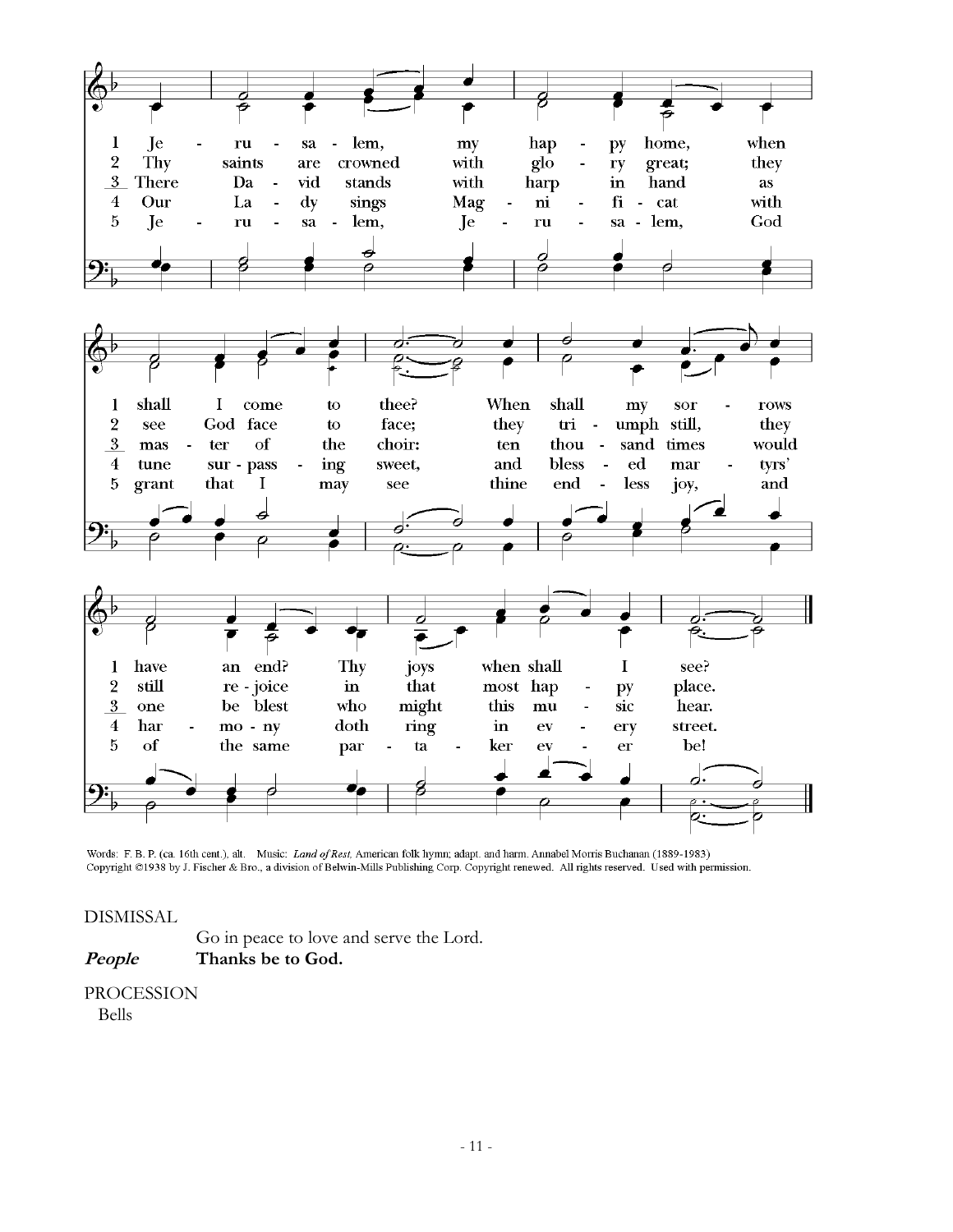

Words: F. B. P. (ca. 16th cent.), alt. Music: Land of Rest, American folk hymn; adapt. and harm. Annabel Morris Buchanan (1889-1983) Copyright ©1938 by J. Fischer & Bro., a division of Belwin-Mills Publishing Corp. Copyright renewed. All rights reserved. Used with permission.

#### DISMISSAL

Go in peace to love and serve the Lord. **People Thanks be to God.**

## PROCESSION

Bells